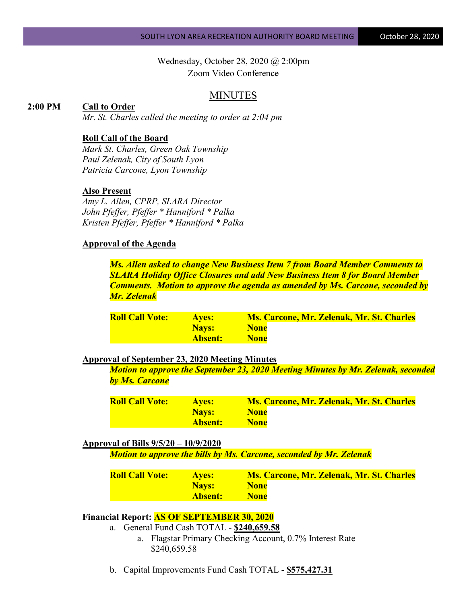Wednesday, October 28, 2020 @ 2:00pm Zoom Video Conference

## MINUTES

### **2:00 PM Call to Order**

*Mr. St. Charles called the meeting to order at 2:04 pm*

### **Roll Call of the Board**

*Mark St. Charles, Green Oak Township Paul Zelenak, City of South Lyon Patricia Carcone, Lyon Township*

#### **Also Present**

*Amy L. Allen, CPRP, SLARA Director John Pfeffer, Pfeffer \* Hanniford \* Palka Kristen Pfeffer, Pfeffer \* Hanniford \* Palka*

### **Approval of the Agenda**

*Ms. Allen asked to change New Business Item 7 from Board Member Comments to SLARA Holiday Office Closures and add New Business Item 8 for Board Member Comments. Motion to approve the agenda as amended by Ms. Carcone, seconded by Mr. Zelenak*

| <b>Roll Call Vote:</b> | <b>Aves:</b> | <b>Ms. Carcone, Mr. Zelenak, Mr. St. Charles</b> |
|------------------------|--------------|--------------------------------------------------|
|                        | <b>Navs:</b> | <b>None</b>                                      |
|                        | 'Absent: :   | <b>None</b>                                      |

#### **Approval of September 23, 2020 Meeting Minutes**

*Motion to approve the September 23, 2020 Meeting Minutes by Mr. Zelenak, seconded by Ms. Carcone*

| <b>Roll Call Vote:</b> | <b>Aves:</b> | <b>Ms. Carcone, Mr. Zelenak, Mr. St. Charles</b> |
|------------------------|--------------|--------------------------------------------------|
|                        | <b>Navs:</b> | <b>None</b>                                      |
|                        | Absent:      | <b>None</b>                                      |

#### **Approval of Bills 9/5/20 – 10/9/2020**

*Motion to approve the bills by Ms. Carcone, seconded by Mr. Zelenak*

| <b>Roll Call Vote:</b> | <b>Aves:</b> | <b>Ms. Carcone, Mr. Zelenak, Mr. St. Charles</b> |
|------------------------|--------------|--------------------------------------------------|
|                        | Nays:        | <b>None</b>                                      |
|                        | Absent:      | <b>None</b>                                      |

## **Financial Report: AS OF SEPTEMBER 30, 2020**

- a. General Fund Cash TOTAL **\$240,659.58**
	- a. Flagstar Primary Checking Account, 0.7% Interest Rate \$240,659.58
- b. Capital Improvements Fund Cash TOTAL **\$575,427.31**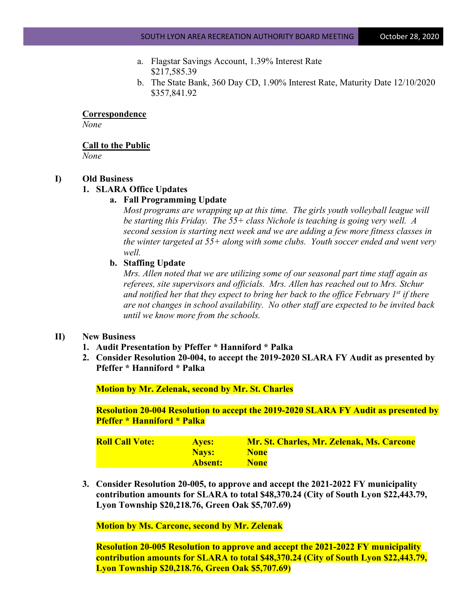- a. Flagstar Savings Account, 1.39% Interest Rate \$217,585.39
- b. The State Bank, 360 Day CD, 1.90% Interest Rate, Maturity Date 12/10/2020 \$357,841.92

**Correspondence**

*None*

**Call to the Public**

*None*

#### **I) Old Business**

#### **1. SLARA Office Updates**

### **a. Fall Programming Update**

*Most programs are wrapping up at this time. The girls youth volleyball league will be starting this Friday. The 55+ class Nichole is teaching is going very well. A second session is starting next week and we are adding a few more fitness classes in the winter targeted at 55+ along with some clubs. Youth soccer ended and went very well.*

### **b. Staffing Update**

*Mrs. Allen noted that we are utilizing some of our seasonal part time staff again as referees, site supervisors and officials. Mrs. Allen has reached out to Mrs. Stchur and notified her that they expect to bring her back to the office February 1st if there are not changes in school availability. No other staff are expected to be invited back until we know more from the schools.*

### **II) New Business**

- **1. Audit Presentation by Pfeffer \* Hanniford \* Palka**
- **2. Consider Resolution 20-004, to accept the 2019-2020 SLARA FY Audit as presented by Pfeffer \* Hanniford \* Palka**

**Motion by Mr. Zelenak, second by Mr. St. Charles**

**Resolution 20-004 Resolution to accept the 2019-2020 SLARA FY Audit as presented by Pfeffer \* Hanniford \* Palka**

| <b>Roll Call Vote:</b> | <b>Aves:</b>   | Mr. St. Charles, Mr. Zelenak, Ms. Carcone |
|------------------------|----------------|-------------------------------------------|
|                        | <b>Navs:</b>   | <b>None</b>                               |
|                        | <b>Absent:</b> | <b>None</b>                               |

**3. Consider Resolution 20-005, to approve and accept the 2021-2022 FY municipality contribution amounts for SLARA to total \$48,370.24 (City of South Lyon \$22,443.79, Lyon Township \$20,218.76, Green Oak \$5,707.69)**

**Motion by Ms. Carcone, second by Mr. Zelenak**

**Resolution 20-005 Resolution to approve and accept the 2021-2022 FY municipality contribution amounts for SLARA to total \$48,370.24 (City of South Lyon \$22,443.79, Lyon Township \$20,218.76, Green Oak \$5,707.69)**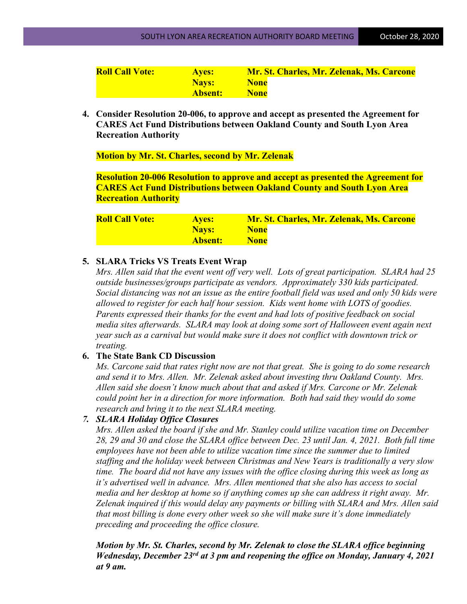| <b>Roll Call Vote:</b> | <b>Aves:</b>   | Mr. St. Charles, Mr. Zelenak, Ms. Carcone |
|------------------------|----------------|-------------------------------------------|
|                        | <b>Navs:</b>   | <b>None</b>                               |
|                        | <b>Absent:</b> | <b>None</b>                               |

**4. Consider Resolution 20-006, to approve and accept as presented the Agreement for CARES Act Fund Distributions between Oakland County and South Lyon Area Recreation Authority**

**Motion by Mr. St. Charles, second by Mr. Zelenak**

**Resolution 20-006 Resolution to approve and accept as presented the Agreement for CARES Act Fund Distributions between Oakland County and South Lyon Area Recreation Authority**

| <b>Roll Call Vote:</b> | <b>Aves:</b> | <b>Mr. St. Charles, Mr. Zelenak, Ms. Carcone</b> |
|------------------------|--------------|--------------------------------------------------|
|                        | <b>Navs:</b> | <b>None</b>                                      |
|                        | Absent:      | <b>None</b>                                      |

# **5. SLARA Tricks VS Treats Event Wrap**

*Mrs. Allen said that the event went off very well. Lots of great participation. SLARA had 25 outside businesses/groups participate as vendors. Approximately 330 kids participated. Social distancing was not an issue as the entire football field was used and only 50 kids were allowed to register for each half hour session. Kids went home with LOTS of goodies. Parents expressed their thanks for the event and had lots of positive feedback on social media sites afterwards. SLARA may look at doing some sort of Halloween event again next year such as a carnival but would make sure it does not conflict with downtown trick or treating.*

# **6. The State Bank CD Discussion**

*Ms. Carcone said that rates right now are not that great. She is going to do some research and send it to Mrs. Allen. Mr. Zelenak asked about investing thru Oakland County. Mrs. Allen said she doesn't know much about that and asked if Mrs. Carcone or Mr. Zelenak could point her in a direction for more information. Both had said they would do some research and bring it to the next SLARA meeting.*

## *7. SLARA Holiday Office Closures*

*Mrs. Allen asked the board if she and Mr. Stanley could utilize vacation time on December 28, 29 and 30 and close the SLARA office between Dec. 23 until Jan. 4, 2021. Both full time employees have not been able to utilize vacation time since the summer due to limited staffing and the holiday week between Christmas and New Years is traditionally a very slow time. The board did not have any issues with the office closing during this week as long as it's advertised well in advance. Mrs. Allen mentioned that she also has access to social media and her desktop at home so if anything comes up she can address it right away. Mr. Zelenak inquired if this would delay any payments or billing with SLARA and Mrs. Allen said that most billing is done every other week so she will make sure it's done immediately preceding and proceeding the office closure.*

*Motion by Mr. St. Charles, second by Mr. Zelenak to close the SLARA office beginning Wednesday, December 23rd at 3 pm and reopening the office on Monday, January 4, 2021 at 9 am.*